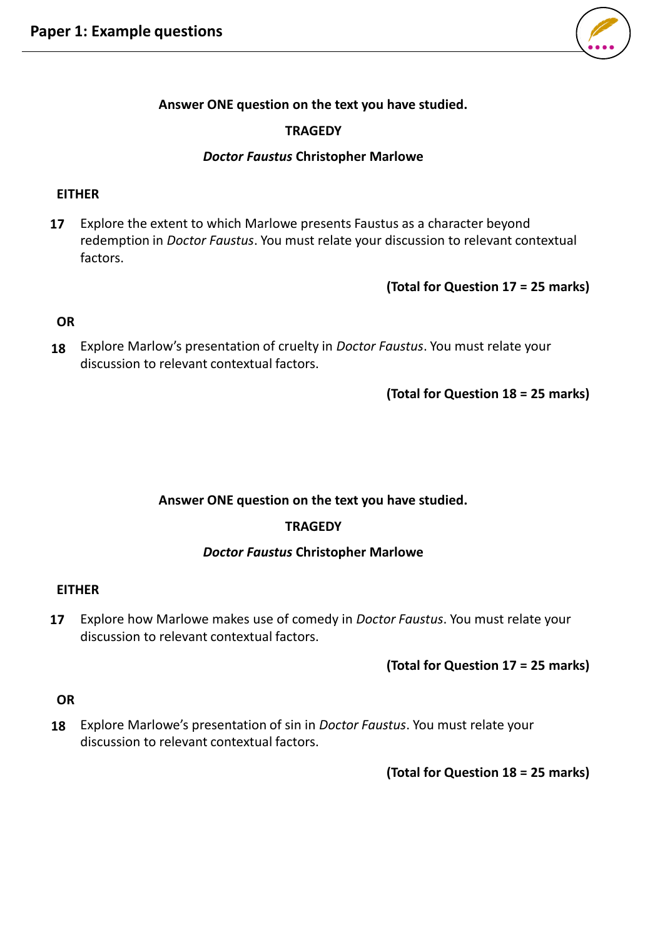

### **Answer ONE question on the text you have studied.**

# **TRAGEDY**

#### *Doctor Faustus* **Christopher Marlowe**

#### **EITHER**

Explore the extent to which Marlowe presents Faustus as a character beyond redemption in *Doctor Faustus*. You must relate your discussion to relevant contextual factors. **17**

**(Total for Question 17 = 25 marks)**

### **OR**

Explore Marlow's presentation of cruelty in *Doctor Faustus*. You must relate your **18** discussion to relevant contextual factors.

**(Total for Question 18 = 25 marks)**

#### **Answer ONE question on the text you have studied.**

#### **TRAGEDY**

#### *Doctor Faustus* **Christopher Marlowe**

#### **EITHER**

Explore how Marlowe makes use of comedy in *Doctor Faustus*. You must relate your discussion to relevant contextual factors. **17**

**(Total for Question 17 = 25 marks)**

### **OR**

Explore Marlowe's presentation of sin in *Doctor Faustus*. You must relate your **18**discussion to relevant contextual factors.

**(Total for Question 18 = 25 marks)**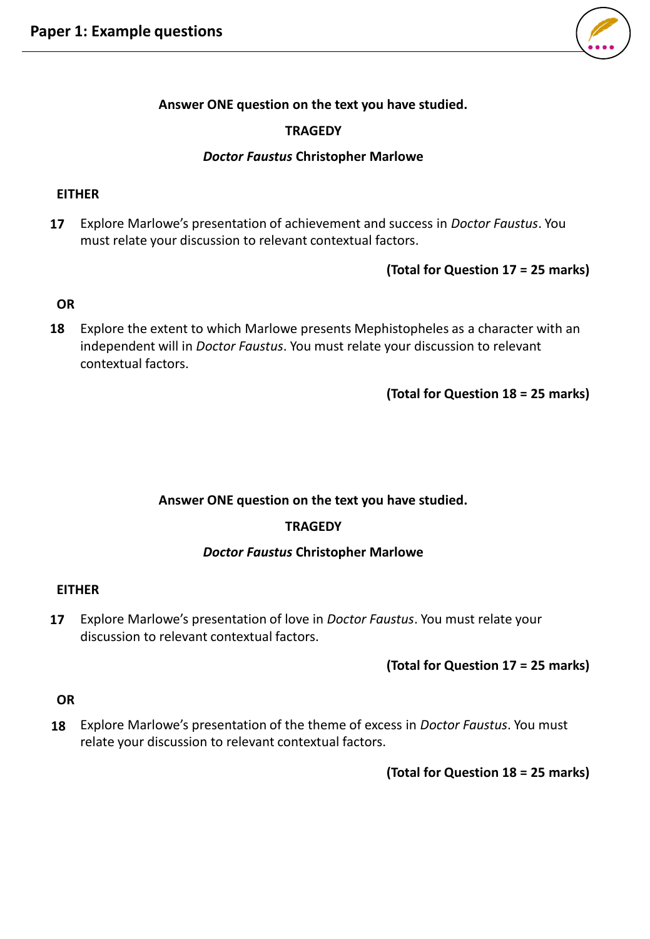

# **Answer ONE question on the text you have studied.**

# **TRAGEDY**

### *Doctor Faustus* **Christopher Marlowe**

### **EITHER**

Explore Marlowe's presentation of achievement and success in *Doctor Faustus*. You must relate your discussion to relevant contextual factors. **17**

# **(Total for Question 17 = 25 marks)**

# **OR**

Explore the extent to which Marlowe presents Mephistopheles as a character with an **18** independent will in *Doctor Faustus*. You must relate your discussion to relevant contextual factors.

**(Total for Question 18 = 25 marks)**

# **Answer ONE question on the text you have studied.**

# **TRAGEDY**

# *Doctor Faustus* **Christopher Marlowe**

# **EITHER**

Explore Marlowe's presentation of love in *Doctor Faustus*. You must relate your discussion to relevant contextual factors. **17**

# **(Total for Question 17 = 25 marks)**

# **OR**

Explore Marlowe's presentation of the theme of excess in *Doctor Faustus*. You must relate your discussion to relevant contextual factors. **18**

**(Total for Question 18 = 25 marks)**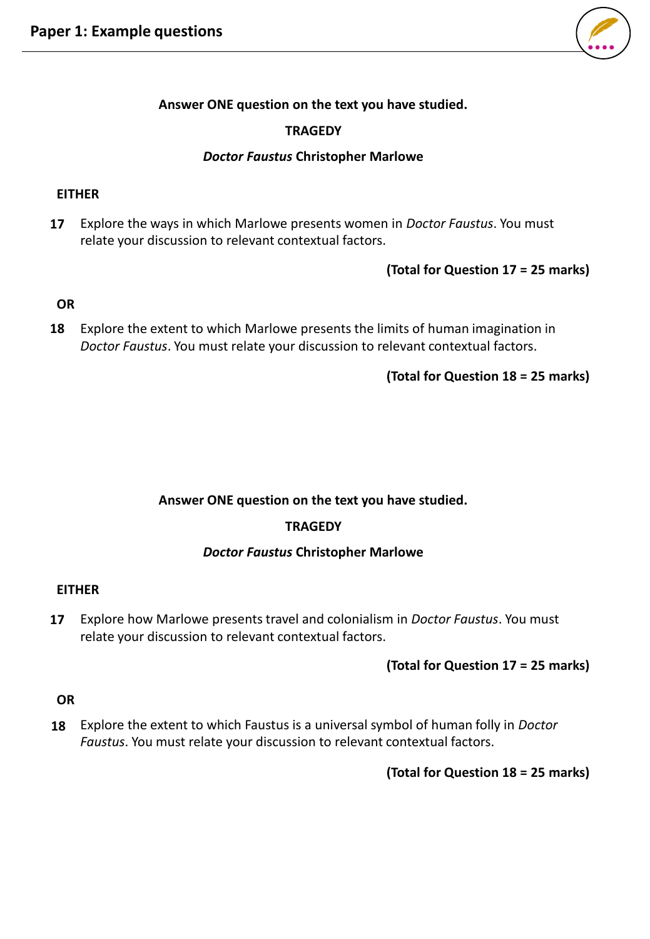

# **Answer ONE question on the text you have studied.**

### **TRAGEDY**

#### *Doctor Faustus* **Christopher Marlowe**

#### **EITHER**

Explore the ways in which Marlowe presents women in *Doctor Faustus*. You must relate your discussion to relevant contextual factors. **17**

### **(Total for Question 17 = 25 marks)**

### **OR**

Explore the extent to which Marlowe presents the limits of human imagination in *Doctor Faustus*. You must relate your discussion to relevant contextual factors. **18**

### **(Total for Question 18 = 25 marks)**

#### **Answer ONE question on the text you have studied.**

#### **TRAGEDY**

#### *Doctor Faustus* **Christopher Marlowe**

#### **EITHER**

Explore how Marlowe presents travel and colonialism in *Doctor Faustus*. You must relate your discussion to relevant contextual factors. **17**

#### **(Total for Question 17 = 25 marks)**

### **OR**

Explore the extent to which Faustus is a universal symbol of human folly in *Doctor Faustus*. You must relate your discussion to relevant contextual factors. **18**

**(Total for Question 18 = 25 marks)**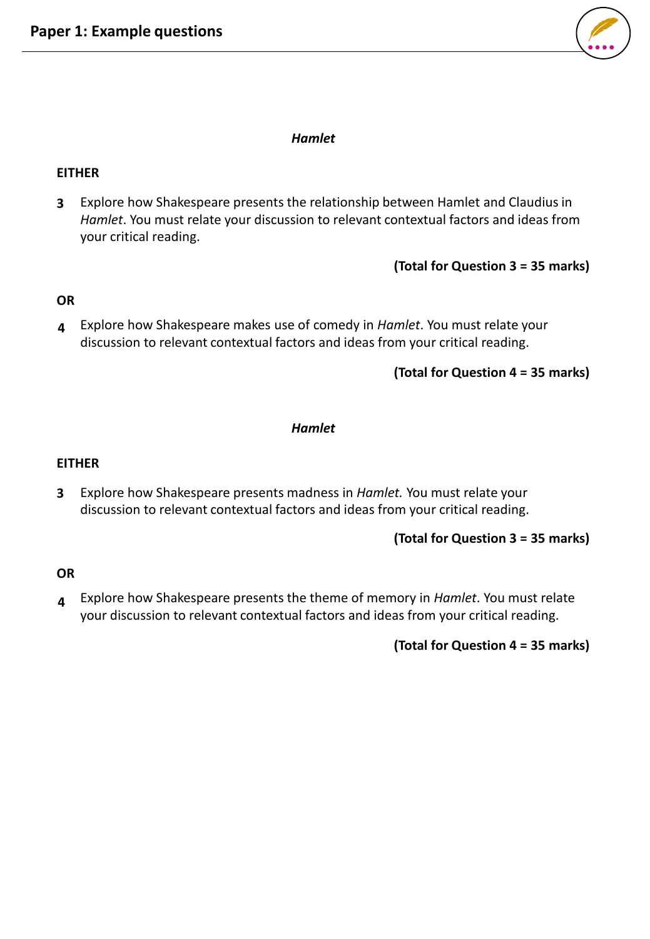

# *Hamlet*

# **EITHER**

Explore how Shakespeare presents the relationship between Hamlet and Claudius in **3** *Hamlet*. You must relate your discussion to relevant contextual factors and ideas from your critical reading.

**(Total for Question 3 = 35 marks)**

# **OR**

Explore how Shakespeare makes use of comedy in *Hamlet*. You must relate your discussion to relevant contextual factors and ideas from your critical reading. **4**

**(Total for Question 4 = 35 marks)**

### *Hamlet*

### **EITHER**

Explore how Shakespeare presents madness in *Hamlet.* You must relate your discussion to relevant contextual factors and ideas from your critical reading. **3**

# **(Total for Question 3 = 35 marks)**

# **OR**

Explore how Shakespeare presents the theme of memory in *Hamlet*. You must relate your discussion to relevant contextual factors and ideas from your critical reading. **4**

# **(Total for Question 4 = 35 marks)**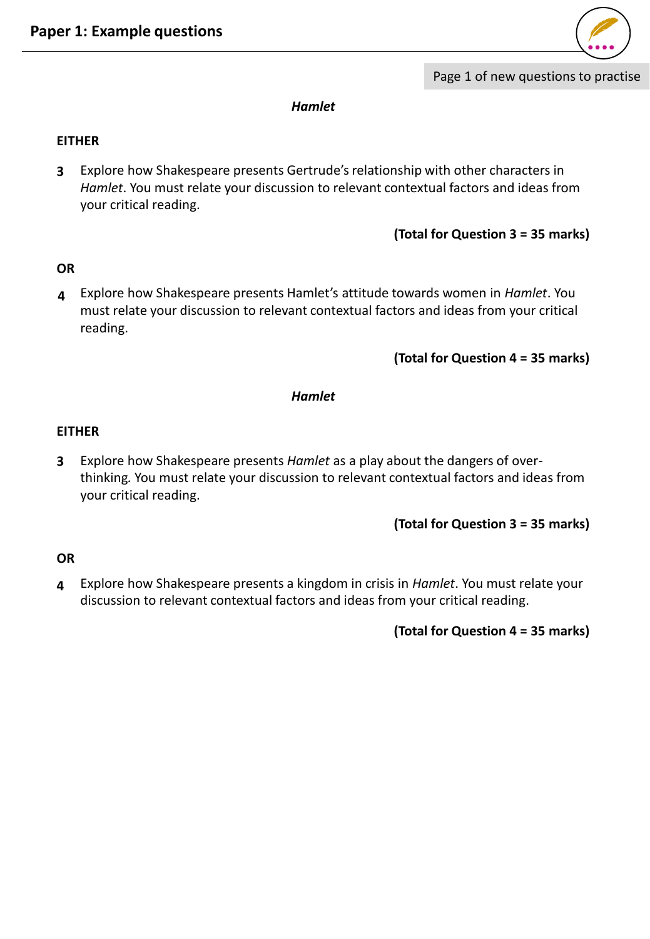

#### *Hamlet*

### **EITHER**

Explore how Shakespeare presents Gertrude's relationship with other characters in *Hamlet*. You must relate your discussion to relevant contextual factors and ideas from your critical reading. **3**

```
(Total for Question 3 = 35 marks)
```
# **OR**

Explore how Shakespeare presents Hamlet's attitude towards women in *Hamlet*. You **4** must relate your discussion to relevant contextual factors and ideas from your critical reading.

**(Total for Question 4 = 35 marks)**

#### *Hamlet*

### **EITHER**

Explore how Shakespeare presents *Hamlet* as a play about the dangers of overthinking*.* You must relate your discussion to relevant contextual factors and ideas from your critical reading. **3**

**(Total for Question 3 = 35 marks)**

# **OR**

Explore how Shakespeare presents a kingdom in crisis in *Hamlet*. You must relate your discussion to relevant contextual factors and ideas from your critical reading. **4**

**(Total for Question 4 = 35 marks)**